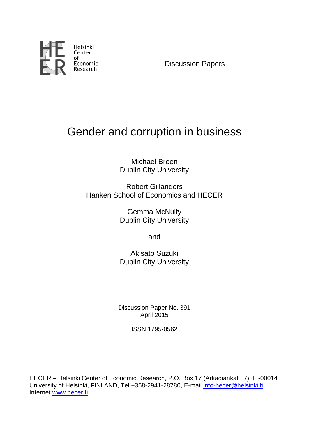

Discussion Papers

# Gender and corruption in business

Michael Breen Dublin City University

Robert Gillanders Hanken School of Economics and HECER

> Gemma McNulty Dublin City University

> > and

Akisato Suzuki Dublin City University

Discussion Paper No. 391 April 2015

ISSN 1795-0562

HECER – Helsinki Center of Economic Research, P.O. Box 17 (Arkadiankatu 7), FI-00014 University of Helsinki, FINLAND, Tel +358-2941-28780, E-mail [info-hecer@helsinki.fi,](mailto:info-hecer@helsinki.fi) Internet [www.hecer.fi](http://www.hecer.fi/)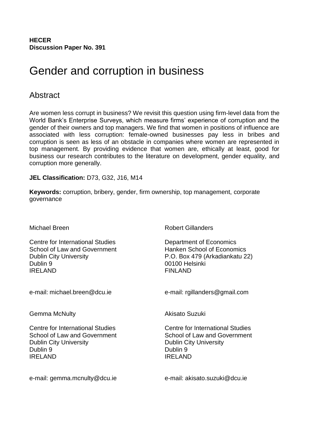**HECER Discussion Paper No. 391**

# Gender and corruption in business

# **Abstract**

Are women less corrupt in business? We revisit this question using firm-level data from the World Bank's Enterprise Surveys, which measure firms' experience of corruption and the gender of their owners and top managers. We find that women in positions of influence are associated with less corruption: female-owned businesses pay less in bribes and corruption is seen as less of an obstacle in companies where women are represented in top management. By providing evidence that women are, ethically at least, good for business our research contributes to the literature on development, gender equality, and corruption more generally.

# **JEL Classification:** D73, G32, J16, M14

**Keywords:** corruption, bribery, gender, firm ownership, top management, corporate governance

Centre for International Studies **Department of Economics** School of Law and Government Hanken School of Economics Dublin City University P.O. Box 479 (Arkadiankatu 22) Dublin 9 00100 Helsinki IREI AND FINI AND

Gemma McNulty **Akisato Suzuki** 

Centre for International Studies Centre for International Studies School of Law and Government School of Law and Government Dublin City University Dublin City University Dublin 9 Dublin 9 IRELAND IRELAND

e-mail: gemma.mcnulty@dcu.ie e-mail: akisato.suzuki@dcu.ie

Michael Breen Robert Gillanders

e-mail: michael.breen@dcu.ie e-mail: rgillanders@gmail.com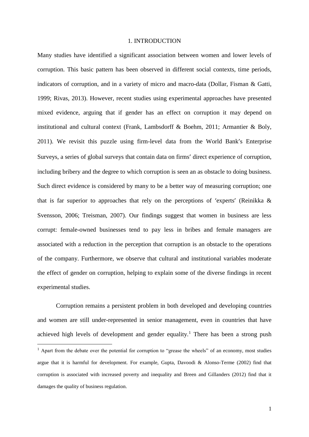#### 1. INTRODUCTION

Many studies have identified a significant association between women and lower levels of corruption. This basic pattern has been observed in different social contexts, time periods, indicators of corruption, and in a variety of micro and macro-data (Dollar, Fisman & Gatti, 1999; Rivas, 2013). However, recent studies using experimental approaches have presented mixed evidence, arguing that if gender has an effect on corruption it may depend on institutional and cultural context (Frank, Lambsdorff & Boehm, 2011; Armantier & Boly, 2011). We revisit this puzzle using firm-level data from the World Bank's Enterprise Surveys, a series of global surveys that contain data on firms' direct experience of corruption, including bribery and the degree to which corruption is seen an as obstacle to doing business. Such direct evidence is considered by many to be a better way of measuring corruption; one that is far superior to approaches that rely on the perceptions of 'experts' (Reinikka & Svensson, 2006; Treisman, 2007). Our findings suggest that women in business are less corrupt: female-owned businesses tend to pay less in bribes and female managers are associated with a reduction in the perception that corruption is an obstacle to the operations of the company. Furthermore, we observe that cultural and institutional variables moderate the effect of gender on corruption, helping to explain some of the diverse findings in recent experimental studies.

Corruption remains a persistent problem in both developed and developing countries and women are still under-represented in senior management, even in countries that have achieved high levels of development and gender equality.<sup>1</sup> There has been a strong push

 $\overline{\phantom{a}}$ 

 $1$  Apart from the debate over the potential for corruption to "grease the wheels" of an economy, most studies argue that it is harmful for development. For example, Gupta, Davoodi & Alonso-Terme (2002) find that corruption is associated with increased poverty and inequality and Breen and Gillanders (2012) find that it damages the quality of business regulation.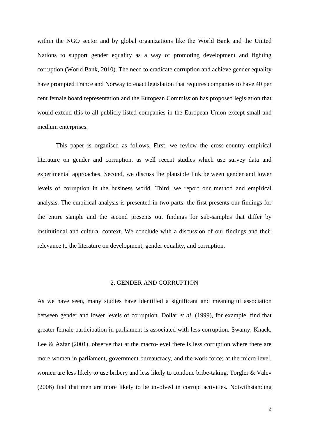within the NGO sector and by global organizations like the World Bank and the United Nations to support gender equality as a way of promoting development and fighting corruption (World Bank, 2010). The need to eradicate corruption and achieve gender equality have prompted France and Norway to enact legislation that requires companies to have 40 per cent female board representation and the European Commission has proposed legislation that would extend this to all publicly listed companies in the European Union except small and medium enterprises.

This paper is organised as follows. First, we review the cross-country empirical literature on gender and corruption, as well recent studies which use survey data and experimental approaches. Second, we discuss the plausible link between gender and lower levels of corruption in the business world. Third, we report our method and empirical analysis. The empirical analysis is presented in two parts: the first presents our findings for the entire sample and the second presents out findings for sub-samples that differ by institutional and cultural context. We conclude with a discussion of our findings and their relevance to the literature on development, gender equality, and corruption.

#### 2. GENDER AND CORRUPTION

As we have seen, many studies have identified a significant and meaningful association between gender and lower levels of corruption. Dollar *et al*. (1999), for example, find that greater female participation in parliament is associated with less corruption. Swamy, Knack, Lee & Azfar  $(2001)$ , observe that at the macro-level there is less corruption where there are more women in parliament, government bureaucracy, and the work force; at the micro-level, women are less likely to use bribery and less likely to condone bribe-taking. Torgler & Valev (2006) find that men are more likely to be involved in corrupt activities. Notwithstanding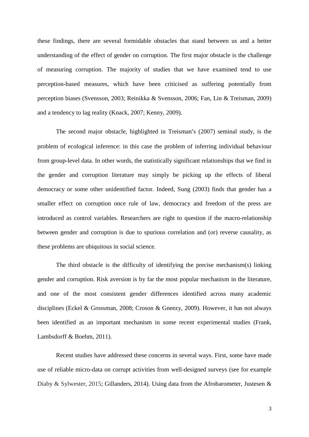these findings, there are several formidable obstacles that stand between us and a better understanding of the effect of gender on corruption. The first major obstacle is the challenge of measuring corruption. The majority of studies that we have examined tend to use perception-based measures, which have been criticised as suffering potentially from perception biases (Svensson, 2003; Reinikka & Svensson, 2006; Fan, Lin & Treisman, 2009) and a tendency to lag reality (Knack, 2007; Kenny, 2009).

The second major obstacle, highlighted in Treisman's (2007) seminal study, is the problem of ecological inference: in this case the problem of inferring individual behaviour from group-level data. In other words, the statistically significant relationships that we find in the gender and corruption literature may simply be picking up the effects of liberal democracy or some other unidentified factor. Indeed, Sung (2003) finds that gender has a smaller effect on corruption once rule of law, democracy and freedom of the press are introduced as control variables. Researchers are right to question if the macro-relationship between gender and corruption is due to spurious correlation and (or) reverse causality, as these problems are ubiquitous in social science.

The third obstacle is the difficulty of identifying the precise mechanism(s) linking gender and corruption. Risk aversion is by far the most popular mechanism in the literature, and one of the most consistent gender differences identified across many academic disciplines (Eckel & Grossman, 2008; Croson & Gneezy, 2009). However, it has not always been identified as an important mechanism in some recent experimental studies (Frank, Lambsdorff & Boehm, 2011).

Recent studies have addressed these concerns in several ways. First, some have made use of reliable micro-data on corrupt activities from well-designed surveys (see for example Diaby & Sylwester, 2015; Gillanders, 2014). Using data from the Afrobarometer, Justesen &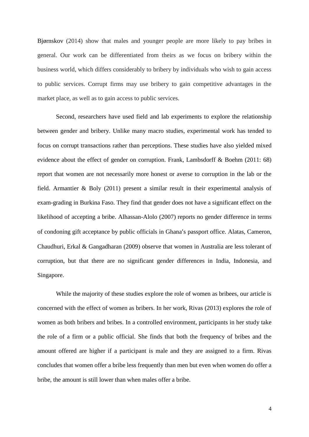Bjørnskov (2014) show that males and younger people are more likely to pay bribes in general. Our work can be differentiated from theirs as we focus on bribery within the business world, which differs considerably to bribery by individuals who wish to gain access to public services. Corrupt firms may use bribery to gain competitive advantages in the market place, as well as to gain access to public services.

Second, researchers have used field and lab experiments to explore the relationship between gender and bribery. Unlike many macro studies, experimental work has tended to focus on corrupt transactions rather than perceptions. These studies have also yielded mixed evidence about the effect of gender on corruption. Frank, Lambsdorff & Boehm (2011: 68) report that women are not necessarily more honest or averse to corruption in the lab or the field. Armantier & Boly (2011) present a similar result in their experimental analysis of exam-grading in Burkina Faso. They find that gender does not have a significant effect on the likelihood of accepting a bribe. Alhassan-Alolo (2007) reports no gender difference in terms of condoning gift acceptance by public officials in Ghana's passport office. Alatas, Cameron, Chaudhuri, Erkal & Gangadharan (2009) observe that women in Australia are less tolerant of corruption, but that there are no significant gender differences in India, Indonesia, and Singapore.

While the majority of these studies explore the role of women as bribees, our article is concerned with the effect of women as bribers. In her work, Rivas (2013) explores the role of women as both bribers and bribes. In a controlled environment, participants in her study take the role of a firm or a public official. She finds that both the frequency of bribes and the amount offered are higher if a participant is male and they are assigned to a firm. Rivas concludes that women offer a bribe less frequently than men but even when women do offer a bribe, the amount is still lower than when males offer a bribe.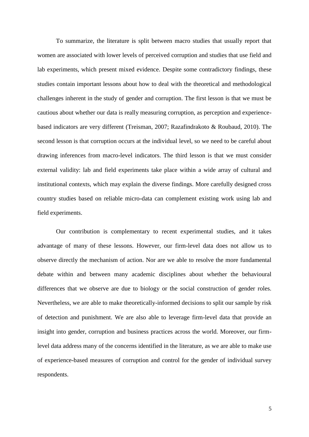To summarize, the literature is split between macro studies that usually report that women are associated with lower levels of perceived corruption and studies that use field and lab experiments, which present mixed evidence. Despite some contradictory findings, these studies contain important lessons about how to deal with the theoretical and methodological challenges inherent in the study of gender and corruption. The first lesson is that we must be cautious about whether our data is really measuring corruption, as perception and experiencebased indicators are very different (Treisman, 2007; Razafindrakoto & Roubaud, 2010). The second lesson is that corruption occurs at the individual level, so we need to be careful about drawing inferences from macro-level indicators. The third lesson is that we must consider external validity: lab and field experiments take place within a wide array of cultural and institutional contexts, which may explain the diverse findings. More carefully designed cross country studies based on reliable micro-data can complement existing work using lab and field experiments.

Our contribution is complementary to recent experimental studies, and it takes advantage of many of these lessons. However, our firm-level data does not allow us to observe directly the mechanism of action. Nor are we able to resolve the more fundamental debate within and between many academic disciplines about whether the behavioural differences that we observe are due to biology or the social construction of gender roles. Nevertheless, we are able to make theoretically-informed decisions to split our sample by risk of detection and punishment. We are also able to leverage firm-level data that provide an insight into gender, corruption and business practices across the world. Moreover, our firmlevel data address many of the concerns identified in the literature, as we are able to make use of experience-based measures of corruption and control for the gender of individual survey respondents.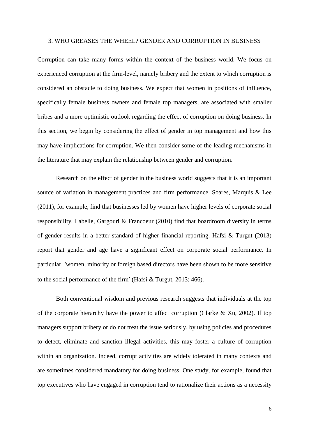#### 3. WHO GREASES THE WHEEL? GENDER AND CORRUPTION IN BUSINESS

Corruption can take many forms within the context of the business world. We focus on experienced corruption at the firm-level, namely bribery and the extent to which corruption is considered an obstacle to doing business. We expect that women in positions of influence, specifically female business owners and female top managers, are associated with smaller bribes and a more optimistic outlook regarding the effect of corruption on doing business. In this section, we begin by considering the effect of gender in top management and how this may have implications for corruption. We then consider some of the leading mechanisms in the literature that may explain the relationship between gender and corruption.

Research on the effect of gender in the business world suggests that it is an important source of variation in management practices and firm performance. Soares, Marquis & Lee (2011), for example, find that businesses led by women have higher levels of corporate social responsibility. Labelle, Gargouri & Francoeur (2010) find that boardroom diversity in terms of gender results in a better standard of higher financial reporting. Hafsi & Turgut (2013) report that gender and age have a significant effect on corporate social performance. In particular, 'women, minority or foreign based directors have been shown to be more sensitive to the social performance of the firm' (Hafsi & Turgut, 2013: 466).

Both conventional wisdom and previous research suggests that individuals at the top of the corporate hierarchy have the power to affect corruption (Clarke & Xu, 2002). If top managers support bribery or do not treat the issue seriously, by using policies and procedures to detect, eliminate and sanction illegal activities, this may foster a culture of corruption within an organization. Indeed, corrupt activities are widely tolerated in many contexts and are sometimes considered mandatory for doing business. One study, for example, found that top executives who have engaged in corruption tend to rationalize their actions as a necessity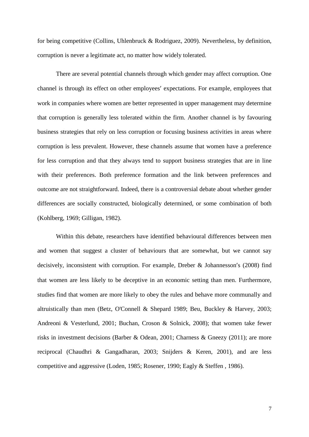for being competitive (Collins, Uhlenbruck & Rodriguez, 2009). Nevertheless, by definition, corruption is never a legitimate act, no matter how widely tolerated.

There are several potential channels through which gender may affect corruption. One channel is through its effect on other employees' expectations. For example, employees that work in companies where women are better represented in upper management may determine that corruption is generally less tolerated within the firm. Another channel is by favouring business strategies that rely on less corruption or focusing business activities in areas where corruption is less prevalent. However, these channels assume that women have a preference for less corruption and that they always tend to support business strategies that are in line with their preferences. Both preference formation and the link between preferences and outcome are not straightforward. Indeed, there is a controversial debate about whether gender differences are socially constructed, biologically determined, or some combination of both (Kohlberg, 1969; Gilligan, 1982).

Within this debate, researchers have identified behavioural differences between men and women that suggest a cluster of behaviours that are somewhat, but we cannot say decisively, inconsistent with corruption. For example, Dreber & Johannesson's (2008) find that women are less likely to be deceptive in an economic setting than men. Furthermore, studies find that women are more likely to obey the rules and behave more communally and altruistically than men (Betz, O'Connell & Shepard 1989; Beu, Buckley & Harvey, 2003; Andreoni & Vesterlund, 2001; Buchan, Croson & Solnick, 2008); that women take fewer risks in investment decisions (Barber & Odean, 2001; Charness & Gneezy (2011); are more reciprocal (Chaudhri & Gangadharan, 2003; Snijders & Keren, 2001), and are less competitive and aggressive (Loden, 1985; Rosener, 1990; Eagly & Steffen , 1986).

7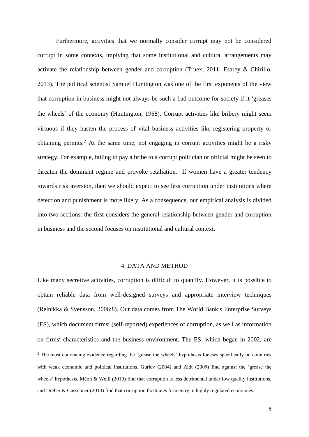Furthermore, activities that we normally consider corrupt may not be considered corrupt in some contexts, implying that some institutional and cultural arrangements may activate the relationship between gender and corruption (Truex, 2011; Esarey & Chirillo, 2013). The political scientist Samuel Huntington was one of the first exponents of the view that corruption in business might not always be such a bad outcome for society if it 'greases the wheels' of the economy (Huntington, 1968). Corrupt activities like bribery might seem virtuous if they hasten the process of vital business activities like registering property or obtaining permits.<sup>2</sup> At the same time, not engaging in corrupt activities might be a risky strategy. For example, failing to pay a bribe to a corrupt politician or official might be seen to threaten the dominant regime and provoke retaliation. If women have a greater tendency towards risk aversion, then we should expect to see less corruption under institutions where detection and punishment is more likely. As a consequence, our empirical analysis is divided into two sections: the first considers the general relationship between gender and corruption in business and the second focuses on institutional and cultural context.

# 4. DATA AND METHOD

Like many secretive activities, corruption is difficult to quantify. However, it is possible to obtain reliable data from well-designed surveys and appropriate interview techniques (Reinikka & Svensson, 2006:8). Our data comes from The World Bank's Enterprise Surveys (ES), which document firms' (self-reported) experiences of corruption, as well as information on firms' characteristics and the business environment. The ES, which began in 2002, are **.** <sup>2</sup> The most convincing evidence regarding the 'grease the wheels' hypothesis focuses specifically on countries with weak economic and political institutions. Guriev (2004) and Aidt (2009) find against the 'grease the wheels' hypothesis. Méon & Weill (2010) find that corruption is less detrimental under low quality institutions, and Dreher & Gassebner (2013) find that corruption facilitates firm entry in highly regulated economies.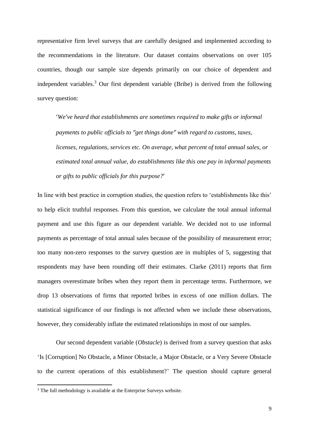representative firm level surveys that are carefully designed and implemented according to the recommendations in the literature. Our dataset contains observations on over 105 countries, though our sample size depends primarily on our choice of dependent and independent variables.<sup>3</sup> Our first dependent variable (Bribe) is derived from the following survey question:

'*We've heard that establishments are sometimes required to make gifts or informal payments to public officials to "get things done" with regard to customs, taxes, licenses, regulations, services etc. On average, what percent of total annual sales, or estimated total annual value, do establishments like this one pay in informal payments or gifts to public officials for this purpose?*'

In line with best practice in corruption studies, the question refers to 'establishments like this' to help elicit truthful responses. From this question, we calculate the total annual informal payment and use this figure as our dependent variable. We decided not to use informal payments as percentage of total annual sales because of the possibility of measurement error; too many non-zero responses to the survey question are in multiples of 5, suggesting that respondents may have been rounding off their estimates. Clarke (2011) reports that firm managers overestimate bribes when they report them in percentage terms. Furthermore, we drop 13 observations of firms that reported bribes in excess of one million dollars. The statistical significance of our findings is not affected when we include these observations, however, they considerably inflate the estimated relationships in most of our samples.

Our second dependent variable (*Obstacle*) is derived from a survey question that asks 'Is [Corruption] No Obstacle, a Minor Obstacle, a Major Obstacle, or a Very Severe Obstacle to the current operations of this establishment?' The question should capture general

 $3$  The full methodology is available at the Enterprise Surveys website.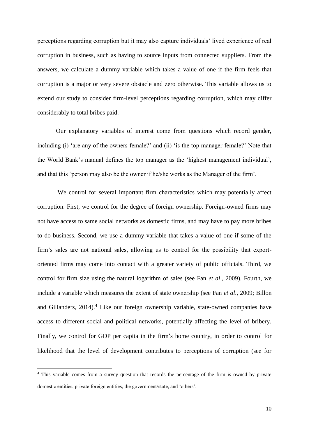perceptions regarding corruption but it may also capture individuals' lived experience of real corruption in business, such as having to source inputs from connected suppliers. From the answers, we calculate a dummy variable which takes a value of one if the firm feels that corruption is a major or very severe obstacle and zero otherwise. This variable allows us to extend our study to consider firm-level perceptions regarding corruption, which may differ considerably to total bribes paid.

Our explanatory variables of interest come from questions which record gender, including (i) 'are any of the owners female?' and (ii) 'is the top manager female?' Note that the World Bank's manual defines the top manager as the 'highest management individual', and that this 'person may also be the owner if he/she works as the Manager of the firm'.

We control for several important firm characteristics which may potentially affect corruption. First, we control for the degree of foreign ownership. Foreign-owned firms may not have access to same social networks as domestic firms, and may have to pay more bribes to do business. Second, we use a dummy variable that takes a value of one if some of the firm's sales are not national sales, allowing us to control for the possibility that exportoriented firms may come into contact with a greater variety of public officials. Third, we control for firm size using the natural logarithm of sales (see Fan *et al*., 2009). Fourth, we include a variable which measures the extent of state ownership (see Fan *et al*., 2009; Billon and Gillanders, 2014). <sup>4</sup> Like our foreign ownership variable, state-owned companies have access to different social and political networks, potentially affecting the level of bribery. Finally, we control for GDP per capita in the firm's home country, in order to control for likelihood that the level of development contributes to perceptions of corruption (see for

1

<sup>&</sup>lt;sup>4</sup> This variable comes from a survey question that records the percentage of the firm is owned by private domestic entities, private foreign entities, the government/state, and 'others'.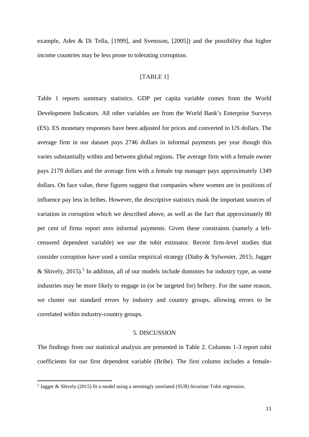example, Ades & Di Tella, [1999], and Svensson, [2005]) and the possibility that higher income countries may be less prone to tolerating corruption.

# [TABLE 1]

Table 1 reports summary statistics. GDP per capita variable comes from the World Development Indicators. All other variables are from the World Bank's Enterprise Surveys (ES). ES monetary responses have been adjusted for prices and converted to US dollars. The average firm in our dataset pays 2746 dollars in informal payments per year though this varies substantially within and between global regions. The average firm with a female owner pays 2179 dollars and the average firm with a female top manager pays approximately 1349 dollars. On face value, these figures suggest that companies where women are in positions of influence pay less in bribes. However, the descriptive statistics mask the important sources of variation in corruption which we described above, as well as the fact that approximately 80 per cent of firms report zero informal payments. Given these constraints (namely a leftcensored dependent variable) we use the tobit estimator. Recent firm-level studies that consider corruption have used a similar empirical strategy (Diaby & Sylwester, 2015; Jagger & Shively, 2015).<sup>5</sup> In addition, all of our models include dummies for industry type, as some industries may be more likely to engage in (or be targeted for) bribery. For the same reason, we cluster our standard errors by industry and country groups, allowing errors to be correlated within industry-country groups.

### 5. DISCUSSION

The findings from our statistical analysis are presented in Table 2. Columns 1-3 report tobit coefficients for our first dependent variable (Bribe). The first column includes a female-

<sup>&</sup>lt;sup>5</sup> Jagger & Shively (2015) fit a model using a seemingly unrelated (SUR) bivariate Tobit regression.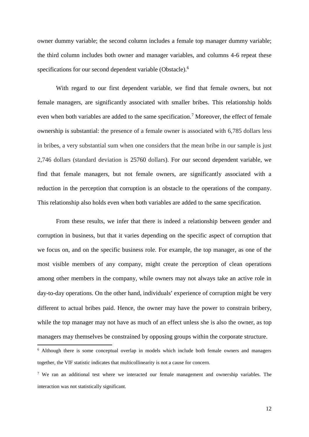owner dummy variable; the second column includes a female top manager dummy variable; the third column includes both owner and manager variables, and columns 4-6 repeat these specifications for our second dependent variable (Obstacle).<sup>6</sup>

With regard to our first dependent variable, we find that female owners, but not female managers, are significantly associated with smaller bribes. This relationship holds even when both variables are added to the same specification.<sup>7</sup> Moreover, the effect of female ownership is substantial: the presence of a female owner is associated with 6,785 dollars less in bribes, a very substantial sum when one considers that the mean bribe in our sample is just 2,746 dollars (standard deviation is 25760 dollars). For our second dependent variable, we find that female managers, but not female owners, are significantly associated with a reduction in the perception that corruption is an obstacle to the operations of the company. This relationship also holds even when both variables are added to the same specification.

From these results, we infer that there is indeed a relationship between gender and corruption in business, but that it varies depending on the specific aspect of corruption that we focus on, and on the specific business role. For example, the top manager, as one of the most visible members of any company, might create the perception of clean operations among other members in the company, while owners may not always take an active role in day-to-day operations. On the other hand, individuals' experience of corruption might be very different to actual bribes paid. Hence, the owner may have the power to constrain bribery, while the top manager may not have as much of an effect unless she is also the owner, as top managers may themselves be constrained by opposing groups within the corporate structure.

<sup>6</sup> Although there is some conceptual overlap in models which include both female owners and managers together, the VIF statistic indicates that multicollinearity is not a cause for concern.

<sup>&</sup>lt;sup>7</sup> We ran an additional test where we interacted our female management and ownership variables. The interaction was not statistically significant.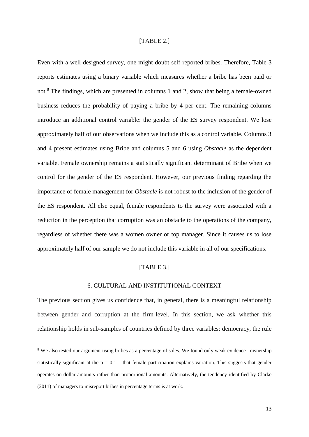### [TABLE 2.]

Even with a well-designed survey, one might doubt self-reported bribes. Therefore, Table 3 reports estimates using a binary variable which measures whether a bribe has been paid or not.<sup>8</sup> The findings, which are presented in columns 1 and 2, show that being a female-owned business reduces the probability of paying a bribe by 4 per cent. The remaining columns introduce an additional control variable: the gender of the ES survey respondent. We lose approximately half of our observations when we include this as a control variable. Columns 3 and 4 present estimates using Bribe and columns 5 and 6 using *Obstacle* as the dependent variable. Female ownership remains a statistically significant determinant of Bribe when we control for the gender of the ES respondent. However, our previous finding regarding the importance of female management for *Obstacle* is not robust to the inclusion of the gender of the ES respondent. All else equal, female respondents to the survey were associated with a reduction in the perception that corruption was an obstacle to the operations of the company, regardless of whether there was a women owner or top manager. Since it causes us to lose approximately half of our sample we do not include this variable in all of our specifications.

#### [TABLE 3.]

#### 6. CULTURAL AND INSTITUTIONAL CONTEXT

The previous section gives us confidence that, in general, there is a meaningful relationship between gender and corruption at the firm-level. In this section, we ask whether this relationship holds in sub-samples of countries defined by three variables: democracy, the rule

<sup>&</sup>lt;sup>8</sup> We also tested our argument using bribes as a percentage of sales. We found only weak evidence –ownership statistically significant at the  $p = 0.1$  – that female participation explains variation. This suggests that gender operates on dollar amounts rather than proportional amounts. Alternatively, the tendency identified by Clarke (2011) of managers to misreport bribes in percentage terms is at work.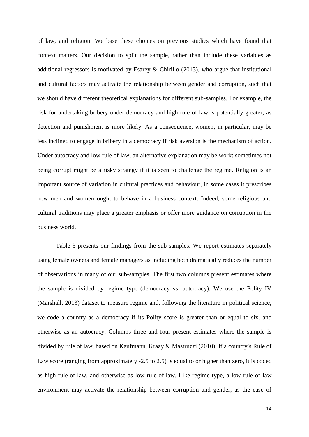of law, and religion. We base these choices on previous studies which have found that context matters. Our decision to split the sample, rather than include these variables as additional regressors is motivated by Esarey & Chirillo (2013), who argue that institutional and cultural factors may activate the relationship between gender and corruption, such that we should have different theoretical explanations for different sub-samples. For example, the risk for undertaking bribery under democracy and high rule of law is potentially greater, as detection and punishment is more likely. As a consequence, women, in particular, may be less inclined to engage in bribery in a democracy if risk aversion is the mechanism of action. Under autocracy and low rule of law, an alternative explanation may be work: sometimes not being corrupt might be a risky strategy if it is seen to challenge the regime. Religion is an important source of variation in cultural practices and behaviour, in some cases it prescribes how men and women ought to behave in a business context. Indeed, some religious and cultural traditions may place a greater emphasis or offer more guidance on corruption in the business world.

Table 3 presents our findings from the sub-samples. We report estimates separately using female owners and female managers as including both dramatically reduces the number of observations in many of our sub-samples. The first two columns present estimates where the sample is divided by regime type (democracy vs. autocracy). We use the Polity IV (Marshall, 2013) dataset to measure regime and, following the literature in political science, we code a country as a democracy if its Polity score is greater than or equal to six, and otherwise as an autocracy. Columns three and four present estimates where the sample is divided by rule of law, based on Kaufmann, Kraay & Mastruzzi (2010). If a country's Rule of Law score (ranging from approximately -2.5 to 2.5) is equal to or higher than zero, it is coded as high rule-of-law, and otherwise as low rule-of-law. Like regime type, a low rule of law environment may activate the relationship between corruption and gender, as the ease of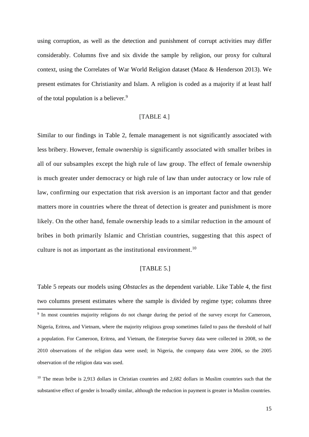using corruption, as well as the detection and punishment of corrupt activities may differ considerably. Columns five and six divide the sample by religion, our proxy for cultural context, using the Correlates of War World Religion dataset (Maoz & Henderson 2013). We present estimates for Christianity and Islam. A religion is coded as a majority if at least half of the total population is a believer.<sup>9</sup>

# [TABLE 4.]

Similar to our findings in Table 2, female management is not significantly associated with less bribery. However, female ownership is significantly associated with smaller bribes in all of our subsamples except the high rule of law group. The effect of female ownership is much greater under democracy or high rule of law than under autocracy or low rule of law, confirming our expectation that risk aversion is an important factor and that gender matters more in countries where the threat of detection is greater and punishment is more likely. On the other hand, female ownership leads to a similar reduction in the amount of bribes in both primarily Islamic and Christian countries, suggesting that this aspect of culture is not as important as the institutional environment.<sup>10</sup>

## [TABLE 5.]

Table 5 repeats our models using *Obstacles* as the dependent variable. Like Table 4, the first two columns present estimates where the sample is divided by regime type; columns three **.** <sup>9</sup> In most countries majority religions do not change during the period of the survey except for Cameroon, Nigeria, Eritrea, and Vietnam, where the majority religious group sometimes failed to pass the threshold of half a population. For Cameroon, Eritrea, and Vietnam, the Enterprise Survey data were collected in 2008, so the 2010 observations of the religion data were used; in Nigeria, the company data were 2006, so the 2005 observation of the religion data was used.

<sup>10</sup> The mean bribe is 2,913 dollars in Christian countries and 2,682 dollars in Muslim countries such that the substantive effect of gender is broadly similar, although the reduction in payment is greater in Muslim countries.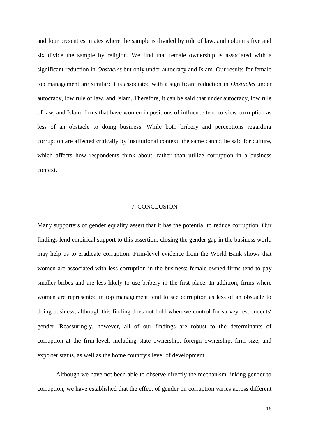and four present estimates where the sample is divided by rule of law, and columns five and six divide the sample by religion. We find that female ownership is associated with a significant reduction in *Obstacles* but only under autocracy and Islam. Our results for female top management are similar: it is associated with a significant reduction in *Obstacles* under autocracy, low rule of law, and Islam. Therefore, it can be said that under autocracy, low rule of law, and Islam, firms that have women in positions of influence tend to view corruption as less of an obstacle to doing business. While both bribery and perceptions regarding corruption are affected critically by institutional context, the same cannot be said for culture, which affects how respondents think about, rather than utilize corruption in a business context.

#### 7. CONCLUSION

Many supporters of gender equality assert that it has the potential to reduce corruption. Our findings lend empirical support to this assertion: closing the gender gap in the business world may help us to eradicate corruption. Firm-level evidence from the World Bank shows that women are associated with less corruption in the business; female-owned firms tend to pay smaller bribes and are less likely to use bribery in the first place. In addition, firms where women are represented in top management tend to see corruption as less of an obstacle to doing business, although this finding does not hold when we control for survey respondents' gender. Reassuringly, however, all of our findings are robust to the determinants of corruption at the firm-level, including state ownership, foreign ownership, firm size, and exporter status, as well as the home country's level of development.

Although we have not been able to observe directly the mechanism linking gender to corruption, we have established that the effect of gender on corruption varies across different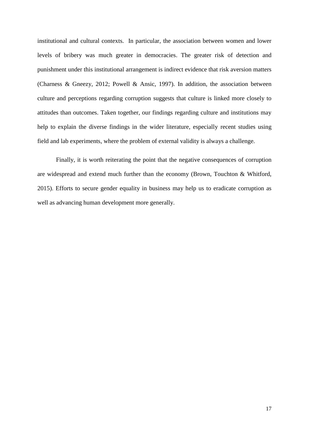institutional and cultural contexts. In particular, the association between women and lower levels of bribery was much greater in democracies. The greater risk of detection and punishment under this institutional arrangement is indirect evidence that risk aversion matters (Charness & Gneezy, 2012; Powell & Ansic, 1997). In addition, the association between culture and perceptions regarding corruption suggests that culture is linked more closely to attitudes than outcomes. Taken together, our findings regarding culture and institutions may help to explain the diverse findings in the wider literature, especially recent studies using field and lab experiments, where the problem of external validity is always a challenge.

Finally, it is worth reiterating the point that the negative consequences of corruption are widespread and extend much further than the economy (Brown, Touchton & Whitford, 2015). Efforts to secure gender equality in business may help us to eradicate corruption as well as advancing human development more generally.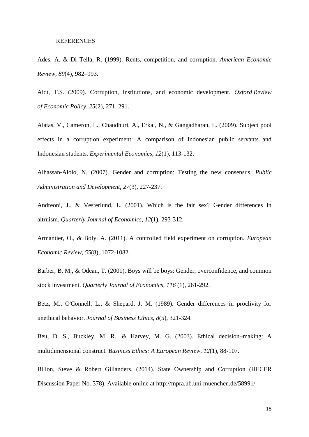#### REFERENCES

Ades, A. & Di Tella, R. (1999). Rents, competition, and corruption. *American Economic Review*, *89*(4), 982–993.

Aidt, T.S. (2009). Corruption, institutions, and economic development. *Oxford Review of Economic Policy, 25*(2), 271–291.

Alatas, V., Cameron, L., Chaudhuri, A., Erkal, N., & Gangadharan, L. (2009). Subject pool effects in a corruption experiment: A comparison of Indonesian public servants and Indonesian students. *Experimental Economics*, *12*(1), 113-132.

Alhassan‐Alolo, N. (2007). Gender and corruption: Testing the new consensus. *Public Administration and Development*, *27*(3), 227-237.

Andreoni, J., & Vesterlund, L. (2001). Which is the fair sex? Gender differences in altruism. *Quarterly Journal of Economics*, *12*(1), 293-312.

Armantier, O., & Boly, A. (2011). A controlled field experiment on corruption. *European Economic Review*, *55*(8), 1072-1082.

Barber, B. M., & Odean, T. (2001). Boys will be boys: Gender, overconfidence, and common stock investment. *Quarterly Journal of Economics*, *116* (1), 261-292.

Betz, M., O'Connell, L., & Shepard, J. M. (1989). Gender differences in proclivity for unethical behavior. *Journal of Business Ethics*, *8*(5), 321-324.

Beu, D. S., Buckley, M. R., & Harvey, M. G. (2003). Ethical decision–making: A multidimensional construct. *Business Ethics: A European Review*, *12*(1), 88-107.

Billon, Steve & Robert Gillanders. (2014). State Ownership and Corruption (HECER Discussion Paper No. 378). Available online at http://mpra.ub.uni-muenchen.de/58991/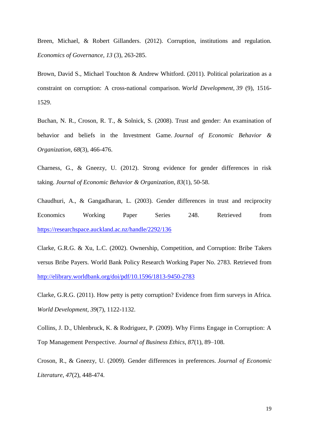Breen, Michael, & Robert Gillanders. (2012). Corruption, institutions and regulation*. Economics of Governance, 13* (3), 263-285.

Brown, David S., Michael Touchton & Andrew Whitford. (2011). Political polarization as a constraint on corruption: A cross-national comparison. *World Development, 39* (9), 1516- 1529.

Buchan, N. R., Croson, R. T., & Solnick, S. (2008). Trust and gender: An examination of behavior and beliefs in the Investment Game. *Journal of Economic Behavior & Organization*, *68*(3), 466-476.

Charness, G., & Gneezy, U. (2012). Strong evidence for gender differences in risk taking. *Journal of Economic Behavior & Organization*, *83*(1), 50-58.

Chaudhuri, A., & Gangadharan, L. (2003). Gender differences in trust and reciprocity Economics Working Paper Series 248. Retrieved from <https://researchspace.auckland.ac.nz/handle/2292/136>

Clarke, G.R.G. & Xu, L.C. (2002). Ownership, Competition, and Corruption: Bribe Takers versus Bribe Payers. World Bank Policy Research Working Paper No. 2783. Retrieved from <http://elibrary.worldbank.org/doi/pdf/10.1596/1813-9450-2783>

Clarke, G.R.G. (2011). How petty is petty corruption? Evidence from firm surveys in Africa. *World Development*, *39*(7), 1122-1132.

Collins, J. D., Uhlenbruck, K. & Rodriguez, P. (2009). Why Firms Engage in Corruption: A Top Management Perspective. *Journal of Business Ethics*, *87*(1), 89–108.

Croson, R., & Gneezy, U. (2009). Gender differences in preferences. *Journal of Economic Literature*, *47*(2), 448-474.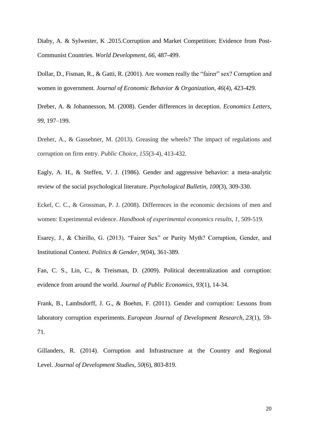Diaby, A. & Sylwester, K .2015.Corruption and Market Competition: Evidence from Post-Communist Countries. *World Development, 66*, 487-499.

Dollar, D., Fisman, R., & Gatti, R. (2001). Are women really the "fairer" sex? Corruption and women in government. *Journal of Economic Behavior & Organization*, *46*(4), 423-429.

Dreber, A. & Johannesson, M. (2008). Gender differences in deception. *Economics Letters*, *99*, 197–199.

Dreher, A., & Gassebner, M. (2013). Greasing the wheels? The impact of regulations and corruption on firm entry. *Public Choice*, *155*(3-4), 413-432.

Eagly, A. H., & Steffen, V. J. (1986). Gender and aggressive behavior: a meta-analytic review of the social psychological literature. *Psychological Bulletin*, *100*(3), 309-330.

Eckel, C. C., & Grossman, P. J. (2008). Differences in the economic decisions of men and women: Experimental evidence. *Handbook of experimental economics results*, *1*, 509-519.

Esarey, J., & Chirillo, G. (2013). "Fairer Sex" or Purity Myth? Corruption, Gender, and Institutional Context. *Politics & Gender*, *9*(04), 361-389.

Fan, C. S., Lin, C., & Treisman, D. (2009). Political decentralization and corruption: evidence from around the world. *Journal of Public Economics*, *93*(1), 14-34.

Frank, B., Lambsdorff, J. G., & Boehm, F. (2011). Gender and corruption: Lessons from laboratory corruption experiments. *European Journal of Development Research*, *23*(1), 59- 71.

Gillanders, R. (2014). Corruption and Infrastructure at the Country and Regional Level. *Journal of Development Studies*, *50*(6), 803-819.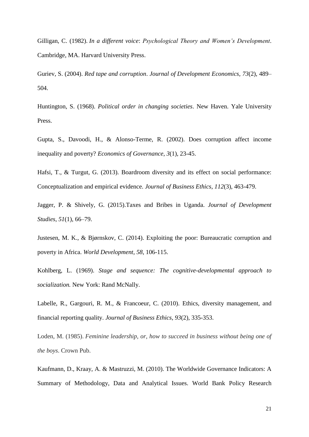Gilligan, C. (1982). *In a different voice*: *Psychological Theory and Women's Development*. Cambridge, MA. Harvard University Press.

Guriev, S. (2004). *Red tape and corruption*. *Journal of Development Economics, 73*(2), 489– 504.

Huntington, S. (1968). *Political order in changing societies*. New Haven. Yale University Press.

Gupta, S., Davoodi, H., & Alonso-Terme, R. (2002). Does corruption affect income inequality and poverty? *Economics of Governance*, *3*(1), 23-45.

Hafsi, T., & Turgut, G. (2013). Boardroom diversity and its effect on social performance: Conceptualization and empirical evidence. *Journal of Business Ethics*, *112*(3), 463-479.

Jagger, P. & Shively, G. (2015).Taxes and Bribes in Uganda. *Journal of Development Studies*, *51*(1), 66–79.

Justesen, M. K., & Bjørnskov, C. (2014). Exploiting the poor: Bureaucratic corruption and poverty in Africa. *World Development*, *58*, 106-115.

Kohlberg, L. (1969). *Stage and sequence: The cognitive-developmental approach to socialization.* New York: Rand McNally.

Labelle, R., Gargouri, R. M., & Francoeur, C. (2010). Ethics, diversity management, and financial reporting quality. *Journal of Business Ethics*, *93*(2), 335-353.

Loden, M. (1985). *Feminine leadership, or, how to succeed in business without being one of the boys*. Crown Pub.

Kaufmann, D., Kraay, A. & Mastruzzi, M. (2010). The Worldwide Governance Indicators: A Summary of Methodology, Data and Analytical Issues. World Bank Policy Research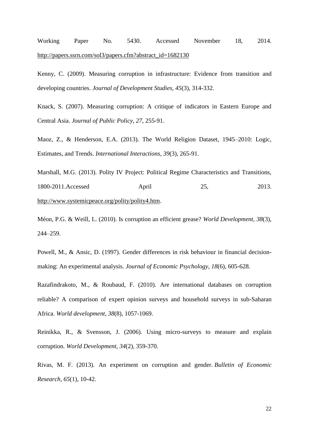Working Paper No. 5430. Accessed November 18, 2014. [http://papers.ssrn.com/sol3/papers.cfm?abstract\\_id=1682130](http://papers.ssrn.com/sol3/papers.cfm?abstract_id=1682130)

Kenny, C. (2009). Measuring corruption in infrastructure: Evidence from transition and developing countries. *Journal of Development Studies*, *45*(3), 314-332.

Knack, S. (2007). Measuring corruption: A critique of indicators in Eastern Europe and Central Asia. *Journal of Public Policy*, *27*, 255-91.

Maoz, Z., & Henderson, E.A. (2013). The World Religion Dataset, 1945–2010: Logic, Estimates, and Trends. *International Interactions, 39*(3), 265-91.

Marshall, M.G. (2013). Polity IV Project: Political Regime Characteristics and Transitions, 1800-2011.Accessed April 25, 2013. [http://www.systemicpeace.org/polity/polity4.htm.](http://www.systemicpeace.org/polity/polity4.htm)

Méon, P.G. & Weill, L. (2010). Is corruption an efficient grease? *World Development, 38*(3), 244–259.

Powell, M., & Ansic, D. (1997). Gender differences in risk behaviour in financial decisionmaking: An experimental analysis. *Journal of Economic Psychology*, *18*(6), 605-628.

Razafindrakoto, M., & Roubaud, F. (2010). Are international databases on corruption reliable? A comparison of expert opinion surveys and household surveys in sub-Saharan Africa. *World development*, *38*(8), 1057-1069.

Reinikka, R., & Svensson, J. (2006). Using micro-surveys to measure and explain corruption. *World Development*, *34*(2), 359-370.

Rivas, M. F. (2013). An experiment on corruption and gender. *Bulletin of Economic Research*, *65*(1), 10-42.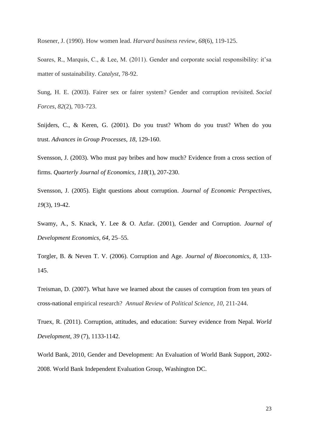Rosener, J. (1990). How women lead. *Harvard business review*, *68*(6), 119-125.

Soares, R., Marquis, C., & Lee, M. (2011). Gender and corporate social responsibility: it'sa matter of sustainability. *Catalyst*, 78-92.

Sung, H. E. (2003). Fairer sex or fairer system? Gender and corruption revisited. *Social Forces*, *82*(2), 703-723.

Snijders, C., & Keren, G. (2001). Do you trust? Whom do you trust? When do you trust. *Advances in Group Processes*, *18*, 129-160.

Svensson, J. (2003). Who must pay bribes and how much? Evidence from a cross section of firms. *Quarterly Journal of Economics*, *118*(1), 207-230.

Svensson, J. (2005). Eight questions about corruption. *Journal of Economic Perspectives*, *19*(3), 19-42.

Swamy, A., S. Knack, Y. Lee & O. Azfar. (2001), Gender and Corruption. *Journal of Development Economics*, *64*, 25–55.

Torgler, B. & Neven T. V. (2006). Corruption and Age. *Journal of Bioeconomics*, *8*, 133- 145.

Treisman, D. (2007). What have we learned about the causes of corruption from ten years of cross-national empirical research? *Annual Review* of *Political Science*, *10*, 211-244.

Truex, R. (2011). Corruption, attitudes, and education: Survey evidence from Nepal. *World Development*, *39* (7), 1133-1142.

World Bank, 2010, Gender and Development: An Evaluation of World Bank Support, 2002- 2008. World Bank Independent Evaluation Group, Washington DC.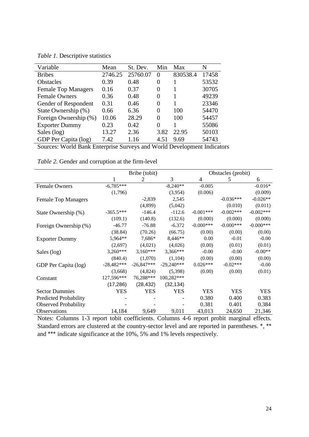*Table 1.* Descriptive statistics

| Variable                   | Mean    | St. Dev. | Min      | Max      | N     |
|----------------------------|---------|----------|----------|----------|-------|
| <b>Bribes</b>              | 2746.25 | 25760.07 | $\Omega$ | 830538.4 | 17458 |
| <b>Obstacles</b>           | 0.39    | 0.48     | 0        |          | 53532 |
| <b>Female Top Managers</b> | 0.16    | 0.37     | 0        |          | 30705 |
| <b>Female Owners</b>       | 0.36    | 0.48     | $\Omega$ |          | 49239 |
| Gender of Respondent       | 0.31    | 0.46     | 0        |          | 23346 |
| State Ownership (%)        | 0.66    | 6.36     | 0        | 100      | 54470 |
| Foreign Ownership (%)      | 10.06   | 28.29    | 0        | 100      | 54457 |
| <b>Exporter Dummy</b>      | 0.23    | 0.42     | 0        |          | 55086 |
| Sales (log)                | 13.27   | 2.36     | 3.82     | 22.95    | 50103 |
| GDP Per Capita (log)       | 7.42    | 1.16     | 4.51     | 9.69     | 54743 |

Sources: World Bank Enterprise Surveys and World Development Indicators

|                              |              | Bribe (tobit) |              | Obstacles (probit) |              |              |  |  |
|------------------------------|--------------|---------------|--------------|--------------------|--------------|--------------|--|--|
|                              |              | 2             | 3            | 4                  | 5            | 6            |  |  |
| <b>Female Owners</b>         | $-6,785***$  |               | $-8,240**$   | $-0.005$           |              | $-0.016*$    |  |  |
|                              | (1,796)      |               | (3,954)      | (0.006)            |              | (0.009)      |  |  |
| <b>Female Top Managers</b>   |              | $-2,839$      | 2,545        |                    | $-0.036***$  | $-0.026**$   |  |  |
|                              |              | (4,899)       | (5,042)      |                    | (0.010)      | (0.011)      |  |  |
| State Ownership (%)          | $-365.5***$  | $-146.4$      | $-112.6$     | $-0.001***$        | $-0.002***$  | $-0.002***$  |  |  |
|                              | (109.1)      | (140.8)       | (132.6)      | (0.000)            | (0.000)      | (0.000)      |  |  |
| Foreign Ownership (%)        | $-46.77$     | $-76.88$      | $-6.372$     | $-0.000$ ***       | $-0.000$ *** | $-0.000$ *** |  |  |
|                              | (38.84)      | (70.26)       | (66.75)      | (0.00)             | (0.00)       | (0.00)       |  |  |
| <b>Exporter Dummy</b>        | 5,964**      | 7,686*        | 8,446**      | 0.00               | $-0.01$      | $-0.00$      |  |  |
|                              | (2,697)      | (4,021)       | (4,026)      | (0.00)             | (0.01)       | (0.01)       |  |  |
| Sales (log)                  | $3,260***$   | $3,160***$    | 3,366***     | $-0.00$            | $-0.00$      | $-0.00**$    |  |  |
|                              | (840.4)      | (1,070)       | (1,104)      | (0.00)             | (0.00)       | (0.00)       |  |  |
| GDP Per Capita (log)         | $-28,482***$ | $-26,847***$  | $-29,240***$ | $0.026***$         | $-0.02***$   | $-0.00$      |  |  |
|                              | (3,668)      | (4,824)       | (5,398)      | (0.00)             | (0.00)       | (0.01)       |  |  |
| Constant                     | 127,596***   | 76,288***     | 100,282***   |                    |              |              |  |  |
|                              | (17, 286)    | (28, 432)     | (32, 134)    |                    |              |              |  |  |
| <b>Sector Dummies</b>        | <b>YES</b>   | <b>YES</b>    | <b>YES</b>   | <b>YES</b>         | <b>YES</b>   | <b>YES</b>   |  |  |
| <b>Predicted Probability</b> |              |               |              | 0.380              | 0.400        | 0.383        |  |  |
| <b>Observed Probability</b>  |              |               |              | 0.381              | 0.401        | 0.384        |  |  |
| Observations                 | 14,184       | 9,649         | 9,011        | 43,013             | 24,650       | 21,346       |  |  |

*Table 2.* Gender and corruption at the firm-level

Notes: Columns 1-3 report tobit coefficients. Columns 4-6 report probit marginal effects. Standard errors are clustered at the country-sector level and are reported in parentheses. \*, \*\* and \*\*\* indicate significance at the 10%, 5% and 1% levels respectively.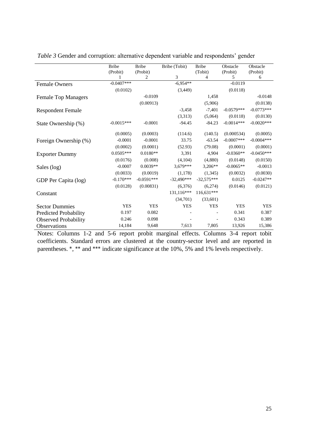|                              | <b>Bribe</b> | <b>Bribe</b>  | Bribe (Tobit) | <b>Bribe</b>              | Obstacle      | Obstacle      |
|------------------------------|--------------|---------------|---------------|---------------------------|---------------|---------------|
|                              | (Probit)     | (Probit)<br>2 | 3             | (Tobit)<br>$\overline{4}$ | (Probit)<br>5 | (Probit)<br>6 |
|                              | $-0.0407***$ |               | $-6,954**$    |                           | $-0.0119$     |               |
| <b>Female Owners</b>         | (0.0102)     |               | (3,449)       |                           | (0.0118)      |               |
|                              |              |               |               |                           |               |               |
| <b>Female Top Managers</b>   |              | $-0.0109$     |               | 1,458                     |               | $-0.0148$     |
|                              |              | (0.00913)     |               | (5,906)                   |               | (0.0138)      |
| <b>Respondent Female</b>     |              |               | $-3,458$      | $-7,401$                  | $-0.0579***$  | $-0.0773***$  |
|                              |              |               | (3,313)       | (5,064)                   | (0.0118)      | (0.0130)      |
| State Ownership (%)          | $-0.0015***$ | $-0.0001$     | $-94.45$      | $-84.23$                  | $-0.0014***$  | $-0.0020***$  |
|                              |              |               |               |                           |               |               |
|                              | (0.0005)     | (0.0003)      | (114.6)       | (140.5)                   | (0.000534)    | (0.0005)      |
| Foreign Ownership (%)        | $-0.0001$    | $-0.0001$     | 33.75         | $-63.54$                  | $-0.0007$ *** | $-0.0004$ *** |
|                              | (0.0002)     | (0.0001)      | (52.93)       | (79.08)                   | (0.0001)      | (0.0001)      |
| <b>Exporter Dummy</b>        | $0.0505***$  | $0.0180**$    | 3,391         | 4,904                     | $-0.0360**$   | $-0.0450***$  |
|                              | (0.0176)     | (0.008)       | (4,104)       | (4,880)                   | (0.0148)      | (0.0150)      |
| Sales (log)                  | $-0.0007$    | $0.0039**$    | $3.679***$    | $3.206**$                 | $-0.0065**$   | $-0.0013$     |
|                              | (0.0033)     | (0.0019)      | (1,178)       | (1,345)                   | (0.0032)      | (0.0030)      |
| GDP Per Capita (log)         | $-0.170***$  | $-0.0591***$  | $-32.490***$  | $-32.575***$              | 0.0125        | $-0.0247**$   |
|                              | (0.0128)     | (0.00831)     | (6,376)       | (6,274)                   | (0.0146)      | (0.0121)      |
| Constant                     |              |               | 131.116***    | $116,631***$              |               |               |
|                              |              |               | (34,701)      | (33,601)                  |               |               |
| <b>Sector Dummies</b>        | <b>YES</b>   | <b>YES</b>    | <b>YES</b>    | <b>YES</b>                | <b>YES</b>    | <b>YES</b>    |
| <b>Predicted Probability</b> | 0.197        | 0.082         |               |                           | 0.341         | 0.387         |
| <b>Observed Probability</b>  | 0.246        | 0.098         |               |                           | 0.343         | 0.389         |
| Observations                 | 14,184       | 9,648         | 7,613         | 7,805                     | 13,926        | 15,386        |

*Table 3* Gender and corruption: alternative dependent variable and respondents' gender

Notes: Columns 1-2 and 5-6 report probit marginal effects. Columns 3-4 report tobit coefficients. Standard errors are clustered at the country-sector level and are reported in parentheses. \*, \*\* and \*\*\* indicate significance at the 10%, 5% and 1% levels respectively.